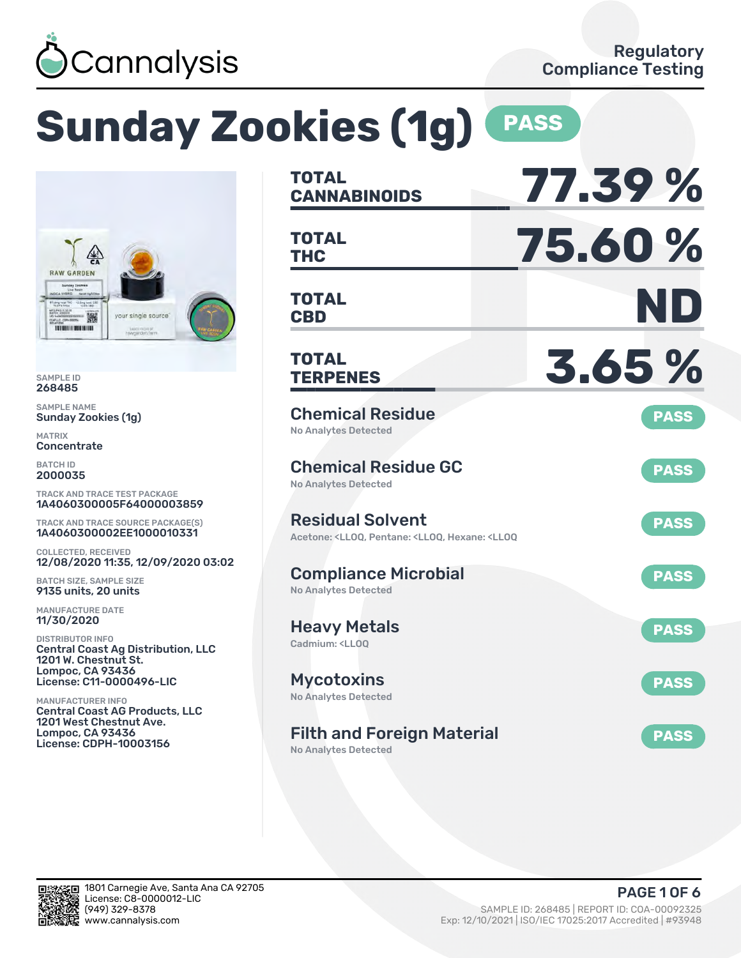

# **Sunday Zookies (1g)** PASS



SAMPLE ID 268485

SAMPLE NAME Sunday Zookies (1g)

MATRIX **Concentrate** 

BATCH ID 2000035

TRACK AND TRACE TEST PACKAGE 1A4060300005F64000003859

TRACK AND TRACE SOURCE PACKAGE(S) 1A4060300002EE1000010331

COLLECTED, RECEIVED 12/08/2020 11:35, 12/09/2020 03:02

BATCH SIZE, SAMPLE SIZE 9135 units, 20 units

MANUFACTURE DATE 11/30/2020

DISTRIBUTOR INFO Central Coast Ag Distribution, LLC 1201 W. Chestnut St. Lompoc, CA 93436 License: C11-0000496-LIC

MANUFACTURER INFO Central Coast AG Products, LLC 1201 West Chestnut Ave. Lompoc, CA 93436 License: CDPH-10003156

| <b>TOTAL</b><br><b>CANNABINOIDS</b>                                                                                      | 77.39%      |
|--------------------------------------------------------------------------------------------------------------------------|-------------|
| <b>TOTAL</b><br><b>THC</b>                                                                                               | 75.60%      |
| <b>TOTAL</b><br><b>CBD</b>                                                                                               | ND          |
| <b>TOTAL</b><br><b>TERPENES</b>                                                                                          | 3.65%       |
| <b>Chemical Residue</b><br>No Analytes Detected                                                                          | <b>PASS</b> |
| <b>Chemical Residue GC</b><br><b>No Analytes Detected</b>                                                                | <b>PASS</b> |
| <b>Residual Solvent</b><br>Acetone: <ll00, <ll00,="" <ll00<="" hexane:="" pentane:="" td=""><td><b>PASS</b></td></ll00,> | <b>PASS</b> |
| <b>Compliance Microbial</b><br>No Analytes Detected                                                                      | <b>PASS</b> |
| <b>Heavy Metals</b><br>Cadmium: <ll00< td=""><td><b>PASS</b></td></ll00<>                                                | <b>PASS</b> |
| <b>Mycotoxins</b><br>No Analytes Detected                                                                                | <b>PASS</b> |
| <b>Filth and Foreign Material</b><br>No Analytes Detected                                                                | <b>PASS</b> |

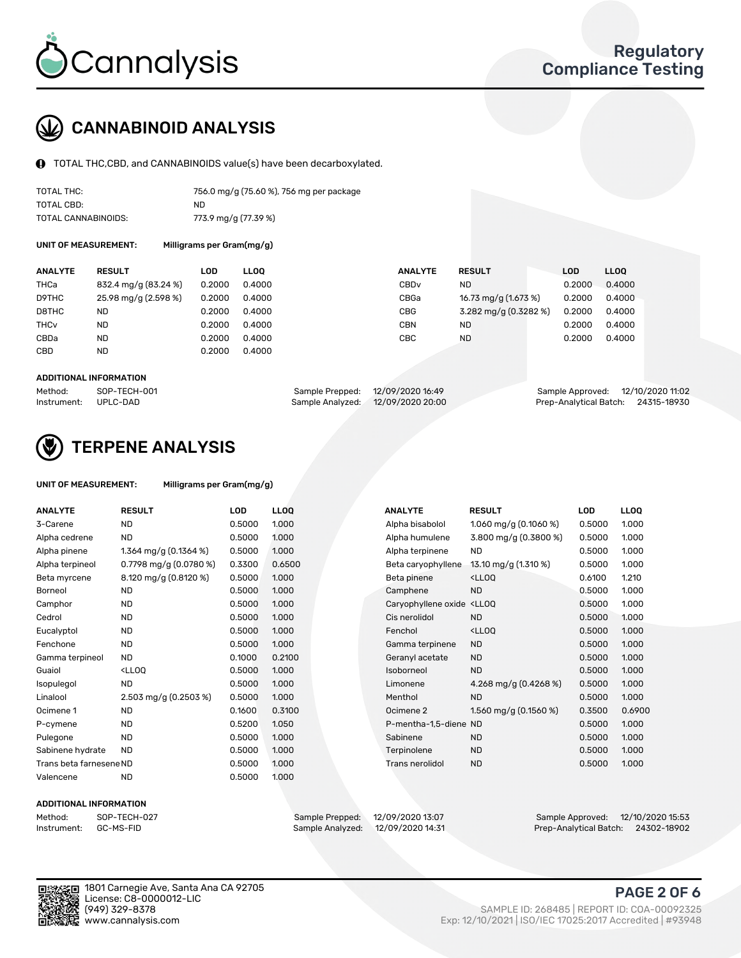

## CANNABINOID ANALYSIS

TOTAL THC,CBD, and CANNABINOIDS value(s) have been decarboxylated.

| TOTAL THC:          | 756.0 mg/g (75.60 %), 756 mg per package |
|---------------------|------------------------------------------|
| TOTAL CBD:          | ND.                                      |
| TOTAL CANNABINOIDS: | 773.9 mg/g (77.39 %)                     |

UNIT OF MEASUREMENT: Milligrams per Gram(mg/g)

| <b>ANALYTE</b>         | <b>RESULT</b>        | LOD    | <b>LLOO</b> | <b>ANALYTE</b>   | <b>RESULT</b>         | LOD    | <b>LLOO</b> |
|------------------------|----------------------|--------|-------------|------------------|-----------------------|--------|-------------|
| THCa                   | 832.4 mg/g (83.24 %) | 0.2000 | 0.4000      | CBD <sub>v</sub> | ND.                   | 0.2000 | 0.4000      |
| D9THC                  | 25.98 mg/g (2.598 %) | 0.2000 | 0.4000      | CBGa             | 16.73 mg/g (1.673 %)  | 0.2000 | 0.4000      |
| D8THC                  | ND                   | 0.2000 | 0.4000      | <b>CBG</b>       | 3.282 mg/g (0.3282 %) | 0.2000 | 0.4000      |
| <b>THC<sub>v</sub></b> | <b>ND</b>            | 0.2000 | 0.4000      | CBN              | ND.                   | 0.2000 | 0.4000      |
| CBDa                   | <b>ND</b>            | 0.2000 | 0.4000      | CBC              | <b>ND</b>             | 0.2000 | 0.4000      |
| CBD                    | <b>ND</b>            | 0.2000 | 0.4000      |                  |                       |        |             |

#### ADDITIONAL INFORMATION

| Method:              | SOP-TECH-001 | Sample Prepped: 12/09/2020 16:49  | Sample Approved: 12/10/2020 11:02  |  |
|----------------------|--------------|-----------------------------------|------------------------------------|--|
| Instrument: UPLC-DAD |              | Sample Analyzed: 12/09/2020 20:00 | Prep-Analytical Batch: 24315-18930 |  |



## TERPENE ANALYSIS

| UNIT OF MEASUREMENT: | Milligrams per Gram(mg/g) |
|----------------------|---------------------------|
|                      |                           |

| <b>ANALYTE</b>          | <b>RESULT</b>                                                                                                   | <b>LOD</b> | <b>LLOQ</b> | <b>ANALYTE</b>                                                             | <b>RESULT</b>                                 | <b>LOD</b> |  |
|-------------------------|-----------------------------------------------------------------------------------------------------------------|------------|-------------|----------------------------------------------------------------------------|-----------------------------------------------|------------|--|
| 3-Carene                | <b>ND</b>                                                                                                       | 0.5000     | 1.000       | Alpha bisabolol                                                            | 1.060 mg/g $(0.1060\%)$                       | 0.5000     |  |
| Alpha cedrene           | ND.                                                                                                             | 0.5000     | 1.000       | Alpha humulene                                                             | 3.800 mg/g (0.3800 %)                         | 0.5000     |  |
| Alpha pinene            | 1.364 mg/g $(0.1364\%)$                                                                                         | 0.5000     | 1.000       | Alpha terpinene                                                            | <b>ND</b>                                     | 0.5000     |  |
| Alpha terpineol         | 0.7798 mg/g $(0.0780\%)$                                                                                        | 0.3300     | 0.6500      | Beta caryophyllene                                                         | 13.10 mg/g (1.310 %)                          | 0.5000     |  |
| Beta myrcene            | 8.120 mg/g (0.8120 %)                                                                                           | 0.5000     | 1.000       | Beta pinene                                                                | <ll0q< td=""><td>0.6100</td><td></td></ll0q<> | 0.6100     |  |
| <b>Borneol</b>          | ND.                                                                                                             | 0.5000     | 1.000       | Camphene                                                                   | <b>ND</b>                                     | 0.5000     |  |
| Camphor                 | <b>ND</b>                                                                                                       | 0.5000     | 1.000       | Caryophyllene oxide <lloq< td=""><td></td><td>0.5000</td><td></td></lloq<> |                                               | 0.5000     |  |
| Cedrol                  | <b>ND</b>                                                                                                       | 0.5000     | 1.000       | Cis nerolidol                                                              | <b>ND</b>                                     | 0.5000     |  |
| Eucalyptol              | <b>ND</b>                                                                                                       | 0.5000     | 1.000       | Fenchol                                                                    | <ll0q< td=""><td>0.5000</td><td></td></ll0q<> | 0.5000     |  |
| Fenchone                | <b>ND</b>                                                                                                       | 0.5000     | 1.000       | Gamma terpinene                                                            | <b>ND</b>                                     | 0.5000     |  |
| Gamma terpineol         | <b>ND</b>                                                                                                       | 0.1000     | 0.2100      | Geranyl acetate                                                            | <b>ND</b>                                     | 0.5000     |  |
| Guaiol                  | <lloq< td=""><td>0.5000</td><td>1.000</td><td>Isoborneol</td><td><b>ND</b></td><td>0.5000</td><td></td></lloq<> | 0.5000     | 1.000       | Isoborneol                                                                 | <b>ND</b>                                     | 0.5000     |  |
| Isopulegol              | <b>ND</b>                                                                                                       | 0.5000     | 1.000       | Limonene                                                                   | 4.268 mg/g $(0.4268\%)$                       | 0.5000     |  |
| Linalool                | 2.503 mg/g (0.2503 %)                                                                                           | 0.5000     | 1.000       | Menthol                                                                    | <b>ND</b>                                     | 0.5000     |  |
| Ocimene 1               | ND.                                                                                                             | 0.1600     | 0.3100      | Ocimene 2                                                                  | 1.560 mg/g $(0.1560\%)$                       | 0.3500     |  |
| P-cymene                | <b>ND</b>                                                                                                       | 0.5200     | 1.050       | P-mentha-1,5-diene ND                                                      |                                               | 0.5000     |  |
| Pulegone                | <b>ND</b>                                                                                                       | 0.5000     | 1.000       | Sabinene                                                                   | <b>ND</b>                                     | 0.5000     |  |
| Sabinene hydrate        | <b>ND</b>                                                                                                       | 0.5000     | 1.000       | Terpinolene                                                                | <b>ND</b>                                     | 0.5000     |  |
| Trans beta farnesene ND |                                                                                                                 | 0.5000     | 1.000       | <b>Trans nerolidol</b>                                                     | <b>ND</b>                                     | 0.5000     |  |
| Valencene               | <b>ND</b>                                                                                                       | 0.5000     | 1.000       |                                                                            |                                               |            |  |

#### ADDITIONAL INFORMATION

Method: SOP-TECH-027 Sample Prepped: 12/09/2020 13:07 Sample Approved: 12/10/2020 15:53 Prep-Analytical Batch: 24302-18902

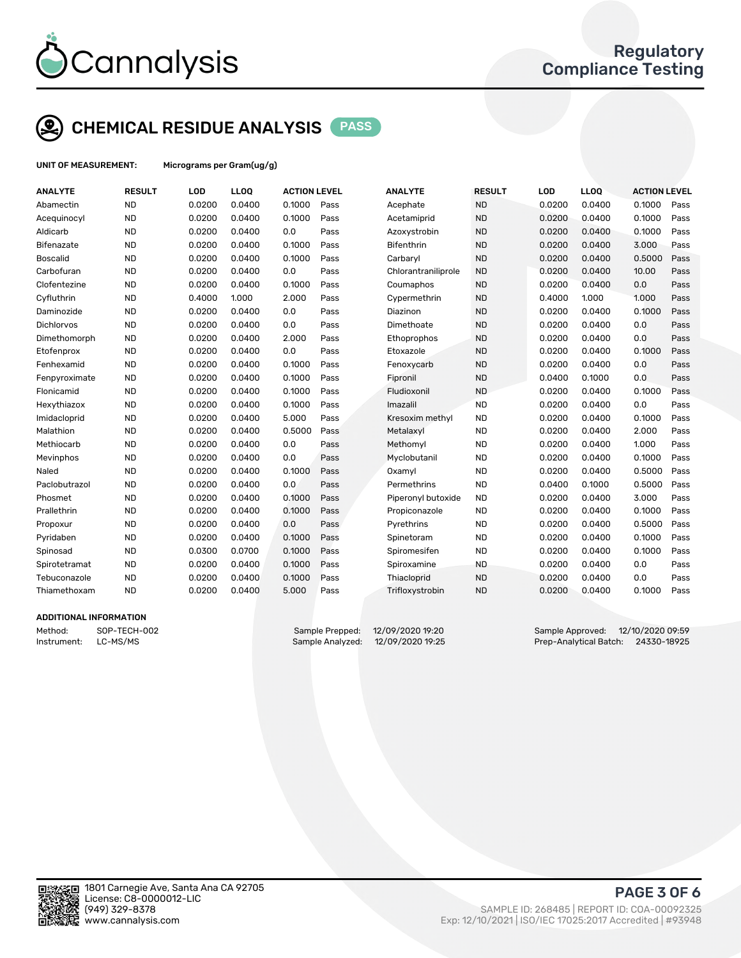

## CHEMICAL RESIDUE ANALYSIS PASS

UNIT OF MEASUREMENT: Micrograms per Gram(ug/g)

| <b>ANALYTE</b>    | <b>RESULT</b> | LOD    | <b>LLOQ</b> | <b>ACTION LEVEL</b> |      | <b>ANALYTE</b>      | <b>RESULT</b> | LOD    | <b>LLOQ</b> | <b>ACTION LEVEL</b> |      |
|-------------------|---------------|--------|-------------|---------------------|------|---------------------|---------------|--------|-------------|---------------------|------|
| Abamectin         | <b>ND</b>     | 0.0200 | 0.0400      | 0.1000              | Pass | Acephate            | <b>ND</b>     | 0.0200 | 0.0400      | 0.1000              | Pass |
| Acequinocyl       | <b>ND</b>     | 0.0200 | 0.0400      | 0.1000              | Pass | Acetamiprid         | <b>ND</b>     | 0.0200 | 0.0400      | 0.1000              | Pass |
| Aldicarb          | <b>ND</b>     | 0.0200 | 0.0400      | 0.0                 | Pass | Azoxystrobin        | <b>ND</b>     | 0.0200 | 0.0400      | 0.1000              | Pass |
| <b>Bifenazate</b> | <b>ND</b>     | 0.0200 | 0.0400      | 0.1000              | Pass | <b>Bifenthrin</b>   | <b>ND</b>     | 0.0200 | 0.0400      | 3.000               | Pass |
| <b>Boscalid</b>   | <b>ND</b>     | 0.0200 | 0.0400      | 0.1000              | Pass | Carbaryl            | <b>ND</b>     | 0.0200 | 0.0400      | 0.5000              | Pass |
| Carbofuran        | <b>ND</b>     | 0.0200 | 0.0400      | 0.0                 | Pass | Chlorantraniliprole | <b>ND</b>     | 0.0200 | 0.0400      | 10.00               | Pass |
| Clofentezine      | <b>ND</b>     | 0.0200 | 0.0400      | 0.1000              | Pass | Coumaphos           | <b>ND</b>     | 0.0200 | 0.0400      | 0.0                 | Pass |
| Cyfluthrin        | <b>ND</b>     | 0.4000 | 1.000       | 2.000               | Pass | Cypermethrin        | <b>ND</b>     | 0.4000 | 1.000       | 1.000               | Pass |
| Daminozide        | <b>ND</b>     | 0.0200 | 0.0400      | 0.0                 | Pass | Diazinon            | <b>ND</b>     | 0.0200 | 0.0400      | 0.1000              | Pass |
| <b>Dichlorvos</b> | <b>ND</b>     | 0.0200 | 0.0400      | 0.0                 | Pass | Dimethoate          | <b>ND</b>     | 0.0200 | 0.0400      | 0.0                 | Pass |
| Dimethomorph      | <b>ND</b>     | 0.0200 | 0.0400      | 2.000               | Pass | Ethoprophos         | <b>ND</b>     | 0.0200 | 0.0400      | 0.0                 | Pass |
| Etofenprox        | <b>ND</b>     | 0.0200 | 0.0400      | 0.0                 | Pass | Etoxazole           | <b>ND</b>     | 0.0200 | 0.0400      | 0.1000              | Pass |
| Fenhexamid        | <b>ND</b>     | 0.0200 | 0.0400      | 0.1000              | Pass | Fenoxycarb          | <b>ND</b>     | 0.0200 | 0.0400      | 0.0                 | Pass |
| Fenpyroximate     | <b>ND</b>     | 0.0200 | 0.0400      | 0.1000              | Pass | Fipronil            | <b>ND</b>     | 0.0400 | 0.1000      | 0.0                 | Pass |
| Flonicamid        | <b>ND</b>     | 0.0200 | 0.0400      | 0.1000              | Pass | Fludioxonil         | <b>ND</b>     | 0.0200 | 0.0400      | 0.1000              | Pass |
| Hexythiazox       | <b>ND</b>     | 0.0200 | 0.0400      | 0.1000              | Pass | Imazalil            | <b>ND</b>     | 0.0200 | 0.0400      | 0.0                 | Pass |
| Imidacloprid      | <b>ND</b>     | 0.0200 | 0.0400      | 5.000               | Pass | Kresoxim methyl     | <b>ND</b>     | 0.0200 | 0.0400      | 0.1000              | Pass |
| Malathion         | <b>ND</b>     | 0.0200 | 0.0400      | 0.5000              | Pass | Metalaxyl           | <b>ND</b>     | 0.0200 | 0.0400      | 2.000               | Pass |
| Methiocarb        | <b>ND</b>     | 0.0200 | 0.0400      | 0.0                 | Pass | Methomyl            | <b>ND</b>     | 0.0200 | 0.0400      | 1.000               | Pass |
| Mevinphos         | <b>ND</b>     | 0.0200 | 0.0400      | 0.0                 | Pass | Myclobutanil        | <b>ND</b>     | 0.0200 | 0.0400      | 0.1000              | Pass |
| Naled             | <b>ND</b>     | 0.0200 | 0.0400      | 0.1000              | Pass | Oxamyl              | <b>ND</b>     | 0.0200 | 0.0400      | 0.5000              | Pass |
| Paclobutrazol     | <b>ND</b>     | 0.0200 | 0.0400      | 0.0                 | Pass | Permethrins         | <b>ND</b>     | 0.0400 | 0.1000      | 0.5000              | Pass |
| Phosmet           | <b>ND</b>     | 0.0200 | 0.0400      | 0.1000              | Pass | Piperonyl butoxide  | <b>ND</b>     | 0.0200 | 0.0400      | 3.000               | Pass |
| Prallethrin       | <b>ND</b>     | 0.0200 | 0.0400      | 0.1000              | Pass | Propiconazole       | <b>ND</b>     | 0.0200 | 0.0400      | 0.1000              | Pass |
| Propoxur          | <b>ND</b>     | 0.0200 | 0.0400      | 0.0                 | Pass | Pyrethrins          | <b>ND</b>     | 0.0200 | 0.0400      | 0.5000              | Pass |
| Pyridaben         | <b>ND</b>     | 0.0200 | 0.0400      | 0.1000              | Pass | Spinetoram          | <b>ND</b>     | 0.0200 | 0.0400      | 0.1000              | Pass |
| Spinosad          | <b>ND</b>     | 0.0300 | 0.0700      | 0.1000              | Pass | Spiromesifen        | <b>ND</b>     | 0.0200 | 0.0400      | 0.1000              | Pass |
| Spirotetramat     | <b>ND</b>     | 0.0200 | 0.0400      | 0.1000              | Pass | Spiroxamine         | <b>ND</b>     | 0.0200 | 0.0400      | 0.0                 | Pass |
| Tebuconazole      | <b>ND</b>     | 0.0200 | 0.0400      | 0.1000              | Pass | Thiacloprid         | <b>ND</b>     | 0.0200 | 0.0400      | 0.0                 | Pass |
| Thiamethoxam      | <b>ND</b>     | 0.0200 | 0.0400      | 5.000               | Pass | Trifloxystrobin     | <b>ND</b>     | 0.0200 | 0.0400      | 0.1000              | Pass |
|                   |               |        |             |                     |      |                     |               |        |             |                     |      |

#### ADDITIONAL INFORMATION

Method: SOP-TECH-002 Sample Prepped: 12/09/2020 19:20 Sample Approved: 12/10/2020 09:59 Instrument: LC-MS/MS Sample Analyzed: 12/09/2020 19:25 Prep-Analytical Batch: 24330-18925



PAGE 3 OF 6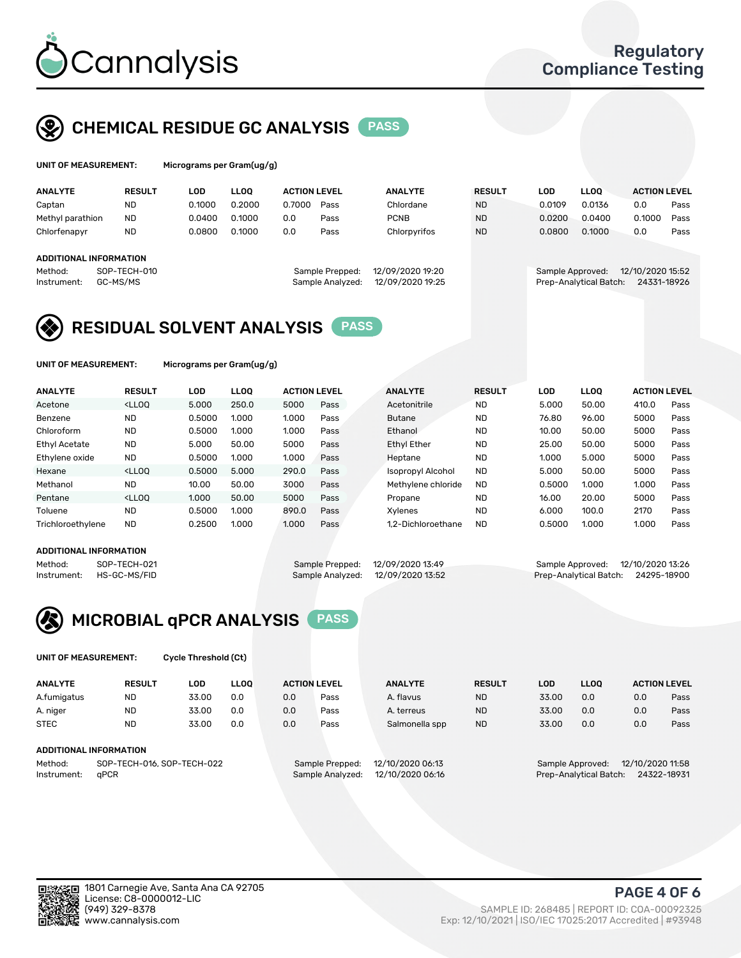

## CHEMICAL RESIDUE GC ANALYSIS PASS

| UNIT OF MEASUREMENT: | Microgra |
|----------------------|----------|
|                      |          |

ms per Gram(ug/g)

| <b>ANALYTE</b>                                          | <b>RESULT</b>            | LOD    | <b>LLOO</b> | <b>ACTION LEVEL</b> |                                     | <b>ANALYTE</b>                       | <b>RESULT</b> | <b>LOD</b>       | <b>LLOO</b>            | <b>ACTION LEVEL</b>             |      |
|---------------------------------------------------------|--------------------------|--------|-------------|---------------------|-------------------------------------|--------------------------------------|---------------|------------------|------------------------|---------------------------------|------|
| Captan                                                  | <b>ND</b>                | 0.1000 | 0.2000      | 0.7000              | Pass                                | Chlordane                            | <b>ND</b>     | 0.0109           | 0.0136                 | 0.0                             | Pass |
| Methyl parathion                                        | <b>ND</b>                | 0.0400 | 0.1000      | 0.0                 | Pass                                | <b>PCNB</b>                          | <b>ND</b>     | 0.0200           | 0.0400                 | 0.1000                          | Pass |
| Chlorfenapyr                                            | <b>ND</b>                | 0.0800 | 0.1000      | 0.0                 | Pass                                | Chlorpyrifos                         | <b>ND</b>     | 0.0800           | 0.1000                 | 0.0                             | Pass |
| <b>ADDITIONAL INFORMATION</b><br>Method:<br>Instrument: | SOP-TECH-010<br>GC-MS/MS |        |             |                     | Sample Prepped:<br>Sample Analyzed: | 12/09/2020 19:20<br>12/09/2020 19:25 |               | Sample Approved: | Prep-Analytical Batch: | 12/10/2020 15:52<br>24331-18926 |      |
|                                                         |                          |        |             |                     |                                     |                                      |               |                  |                        |                                 |      |

## RESIDUAL SOLVENT ANALYSIS PASS

UNIT OF MEASUREMENT: Micrograms per Gram(ug/g)

| <b>ANALYTE</b>    | <b>RESULT</b>                                                                                                                                                                          | LOD    | <b>LLOO</b> | <b>ACTION LEVEL</b> |      | <b>ANALYTE</b>           | <b>RESULT</b> | LOD    | <b>LLOO</b> | <b>ACTION LEVEL</b> |      |
|-------------------|----------------------------------------------------------------------------------------------------------------------------------------------------------------------------------------|--------|-------------|---------------------|------|--------------------------|---------------|--------|-------------|---------------------|------|
| Acetone           | <lloo< td=""><td>5.000</td><td>250.0</td><td>5000</td><td>Pass</td><td>Acetonitrile</td><td><b>ND</b></td><td>5.000</td><td>50.00</td><td>410.0</td><td>Pass</td></lloo<>              | 5.000  | 250.0       | 5000                | Pass | Acetonitrile             | <b>ND</b>     | 5.000  | 50.00       | 410.0               | Pass |
| Benzene           | <b>ND</b>                                                                                                                                                                              | 0.5000 | 1.000       | 1.000               | Pass | <b>Butane</b>            | <b>ND</b>     | 76.80  | 96.00       | 5000                | Pass |
| Chloroform        | <b>ND</b>                                                                                                                                                                              | 0.5000 | 1.000       | 1.000               | Pass | Ethanol                  | <b>ND</b>     | 10.00  | 50.00       | 5000                | Pass |
| Ethyl Acetate     | <b>ND</b>                                                                                                                                                                              | 5.000  | 50.00       | 5000                | Pass | <b>Ethyl Ether</b>       | <b>ND</b>     | 25.00  | 50.00       | 5000                | Pass |
| Ethylene oxide    | <b>ND</b>                                                                                                                                                                              | 0.5000 | 1.000       | 1.000               | Pass | Heptane                  | <b>ND</b>     | 1.000  | 5.000       | 5000                | Pass |
| Hexane            | <lloo< td=""><td>0.5000</td><td>5.000</td><td>290.0</td><td>Pass</td><td><b>Isopropyl Alcohol</b></td><td><b>ND</b></td><td>5.000</td><td>50.00</td><td>5000</td><td>Pass</td></lloo<> | 0.5000 | 5.000       | 290.0               | Pass | <b>Isopropyl Alcohol</b> | <b>ND</b>     | 5.000  | 50.00       | 5000                | Pass |
| Methanol          | <b>ND</b>                                                                                                                                                                              | 10.00  | 50.00       | 3000                | Pass | Methylene chloride       | <b>ND</b>     | 0.5000 | 1.000       | 1.000               | Pass |
| Pentane           | <lloo< td=""><td>1.000</td><td>50.00</td><td>5000</td><td>Pass</td><td>Propane</td><td><b>ND</b></td><td>16.00</td><td>20.00</td><td>5000</td><td>Pass</td></lloo<>                    | 1.000  | 50.00       | 5000                | Pass | Propane                  | <b>ND</b>     | 16.00  | 20.00       | 5000                | Pass |
| Toluene           | <b>ND</b>                                                                                                                                                                              | 0.5000 | 1.000       | 890.0               | Pass | Xvlenes                  | <b>ND</b>     | 6.000  | 100.0       | 2170                | Pass |
| Trichloroethylene | <b>ND</b>                                                                                                                                                                              | 0.2500 | 1.000       | 1.000               | Pass | 1.2-Dichloroethane       | <b>ND</b>     | 0.5000 | 1.000       | 1.000               | Pass |
|                   |                                                                                                                                                                                        |        |             |                     |      |                          |               |        |             |                     |      |

#### ADDITIONAL INFORMATION

Method: SOP-TECH-021 Sample Prepped: 12/09/2020 13:49 Sample Approved: 12/10/2020 13:26<br>Instrument: HS-GC-MS/FID Sample Analyzed: 12/09/2020 13:52 Prep-Analytical Batch: 24295-18900 Prep-Analytical Batch: 24295-18900



UNIT OF MEASUREMENT: Cycle Threshold (Ct)

| <b>ANALYTE</b> | <b>RESULT</b>              | LOD   | <b>LLOO</b> | <b>ACTION LEVEL</b> |                 | <b>ANALYTE</b>   | <b>RESULT</b> | LOD   | <b>LLOO</b>      |                  | <b>ACTION LEVEL</b> |
|----------------|----------------------------|-------|-------------|---------------------|-----------------|------------------|---------------|-------|------------------|------------------|---------------------|
| A.fumigatus    | <b>ND</b>                  | 33.00 | 0.0         | 0.0                 | Pass            | A. flavus        | <b>ND</b>     | 33.00 | 0.0              | 0.0              | Pass                |
| A. niger       | <b>ND</b>                  | 33.00 | 0.0         | 0.0                 | Pass            | A. terreus       | <b>ND</b>     | 33.00 | 0.0              | 0.0              | Pass                |
| <b>STEC</b>    | <b>ND</b>                  | 33.00 | 0.0         | 0.0                 | Pass            | Salmonella spp   | <b>ND</b>     | 33.00 | 0.0              | 0.0              | Pass                |
|                | ADDITIONAL INFORMATION     |       |             |                     |                 |                  |               |       |                  |                  |                     |
| Method:        | SOP-TECH-016, SOP-TECH-022 |       |             |                     | Sample Prepped: | 12/10/2020 06:13 |               |       | Sample Approved: | 12/10/2020 11:58 |                     |

Instrument: qPCR Sample Analyzed: 12/10/2020 06:16 Prep-Analytical Batch: 24322-18931

PAGE 4 OF 6

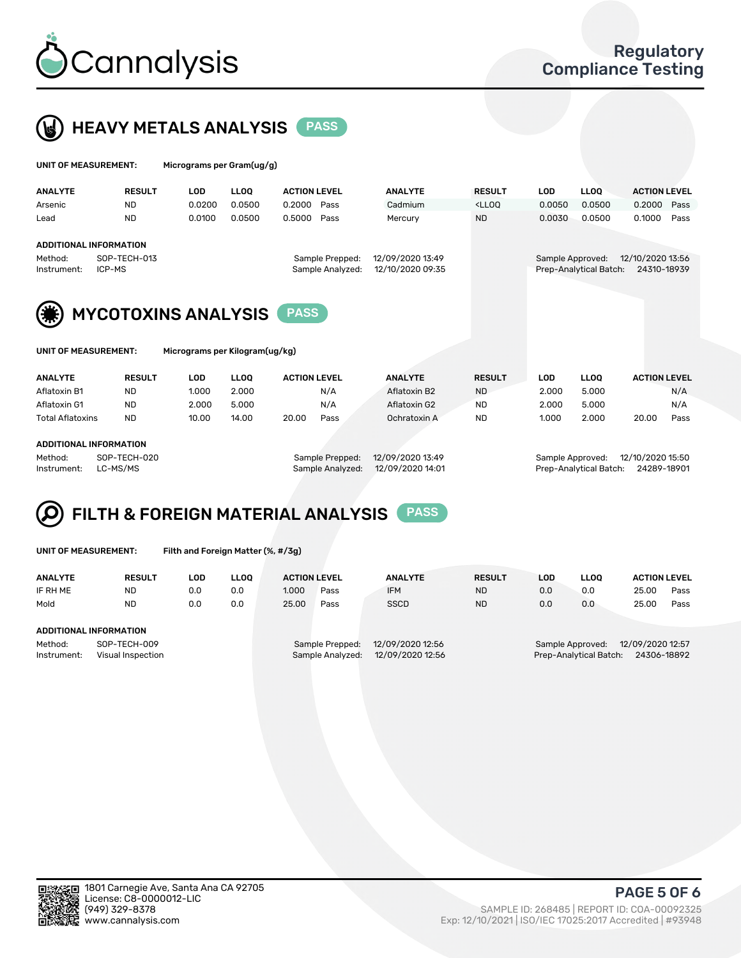



| UNIT OF MEASUREMENT: | Micrograms per Gram(ug/g) |
|----------------------|---------------------------|
|                      |                           |

| <b>ANALYTE</b>         | <b>RESULT</b>          | LOD.   | <b>LLOO</b> | <b>ACTION LEVEL</b>                 | <b>ANALYTE</b>                       | <b>RESULT</b>                                                                    | LOD              | <b>LLOO</b>            | <b>ACTION LEVEL</b>             |      |
|------------------------|------------------------|--------|-------------|-------------------------------------|--------------------------------------|----------------------------------------------------------------------------------|------------------|------------------------|---------------------------------|------|
| Arsenic                | <b>ND</b>              | 0.0200 | 0.0500      | 0.2000<br>Pass                      | Cadmium                              | <lloq< td=""><td>0.0050</td><td>0.0500</td><td>0.2000 Pass</td><td></td></lloq<> | 0.0050           | 0.0500                 | 0.2000 Pass                     |      |
| Lead                   | <b>ND</b>              | 0.0100 | 0.0500      | 0.5000<br>Pass                      | Mercury                              | <b>ND</b>                                                                        | 0.0030           | 0.0500                 | 0.1000                          | Pass |
| ADDITIONAL INFORMATION |                        |        |             |                                     |                                      |                                                                                  |                  |                        |                                 |      |
| Method:<br>Instrument: | SOP-TECH-013<br>ICP-MS |        |             | Sample Prepped:<br>Sample Analyzed: | 12/09/2020 13:49<br>12/10/2020 09:35 |                                                                                  | Sample Approved: | Prep-Analytical Batch: | 12/10/2020 13:56<br>24310-18939 |      |



| UNIT OF MEASUREMENT: |  |
|----------------------|--|
|----------------------|--|

Micrograms per Kilogram(ug/kg)

| <b>ANALYTE</b>          | <b>RESULT</b> | LOD   | <b>LLOO</b> | <b>ACTION LEVEL</b> |      | <b>ANALYTE</b> | <b>RESULT</b> | LOD   | <b>LLOO</b> | <b>ACTION LEVEL</b> |      |
|-------------------------|---------------|-------|-------------|---------------------|------|----------------|---------------|-------|-------------|---------------------|------|
| Aflatoxin B1            | <b>ND</b>     | 1.000 | 2.000       |                     | N/A  | Aflatoxin B2   | <b>ND</b>     | 2.000 | 5.000       |                     | N/A  |
| Aflatoxin G1            | <b>ND</b>     | 2.000 | 5.000       |                     | N/A  | Aflatoxin G2   | <b>ND</b>     | 2.000 | 5.000       |                     | N/A  |
| <b>Total Aflatoxins</b> | <b>ND</b>     | 10.00 | 14.00       | 20.00               | Pass | Ochratoxin A   | <b>ND</b>     | 1.000 | 2.000       | 20.00               | Pass |
|                         |               |       |             |                     |      |                |               |       |             |                     |      |

#### ADDITIONAL INFORMATION

Method: SOP-TECH-020 Sample Prepped: 12/09/2020 13:49 Sample Approved: 12/10/2020 15:50 Instrument: LC-MS/MS Sample Analyzed: 12/09/2020 14:01 Prep-Analytical Batch: 24289-18901

## FILTH & FOREIGN MATERIAL ANALYSIS PASS

UNIT OF MEASUREMENT: Filth and Foreign Matter (%, #/3g)

| <b>ANALYTE</b>                                              | <b>RESULT</b> | LOD. | <b>LLOO</b> | <b>ACTION LEVEL</b>                                                         |      | <b>ANALYTE</b> | <b>RESULT</b> | LOD                                                                           | <b>LLOO</b> | <b>ACTION LEVEL</b> |      |
|-------------------------------------------------------------|---------------|------|-------------|-----------------------------------------------------------------------------|------|----------------|---------------|-------------------------------------------------------------------------------|-------------|---------------------|------|
| IF RH ME                                                    | <b>ND</b>     | 0.0  | 0.0         | 1.000                                                                       | Pass | <b>IFM</b>     | <b>ND</b>     | 0.0                                                                           | 0.0         | 25.00               | Pass |
| Mold                                                        | <b>ND</b>     | 0.0  | 0.0         | 25.00                                                                       | Pass | <b>SSCD</b>    | <b>ND</b>     | 0.0                                                                           | 0.0         | 25.00               | Pass |
| ADDITIONAL INFORMATION                                      |               |      |             |                                                                             |      |                |               |                                                                               |             |                     |      |
| Method:<br>SOP-TECH-009<br>Instrument:<br>Visual Inspection |               |      |             | 12/09/2020 12:56<br>Sample Prepped:<br>12/09/2020 12:56<br>Sample Analyzed: |      |                |               | 12/09/2020 12:57<br>Sample Approved:<br>24306-18892<br>Prep-Analytical Batch: |             |                     |      |